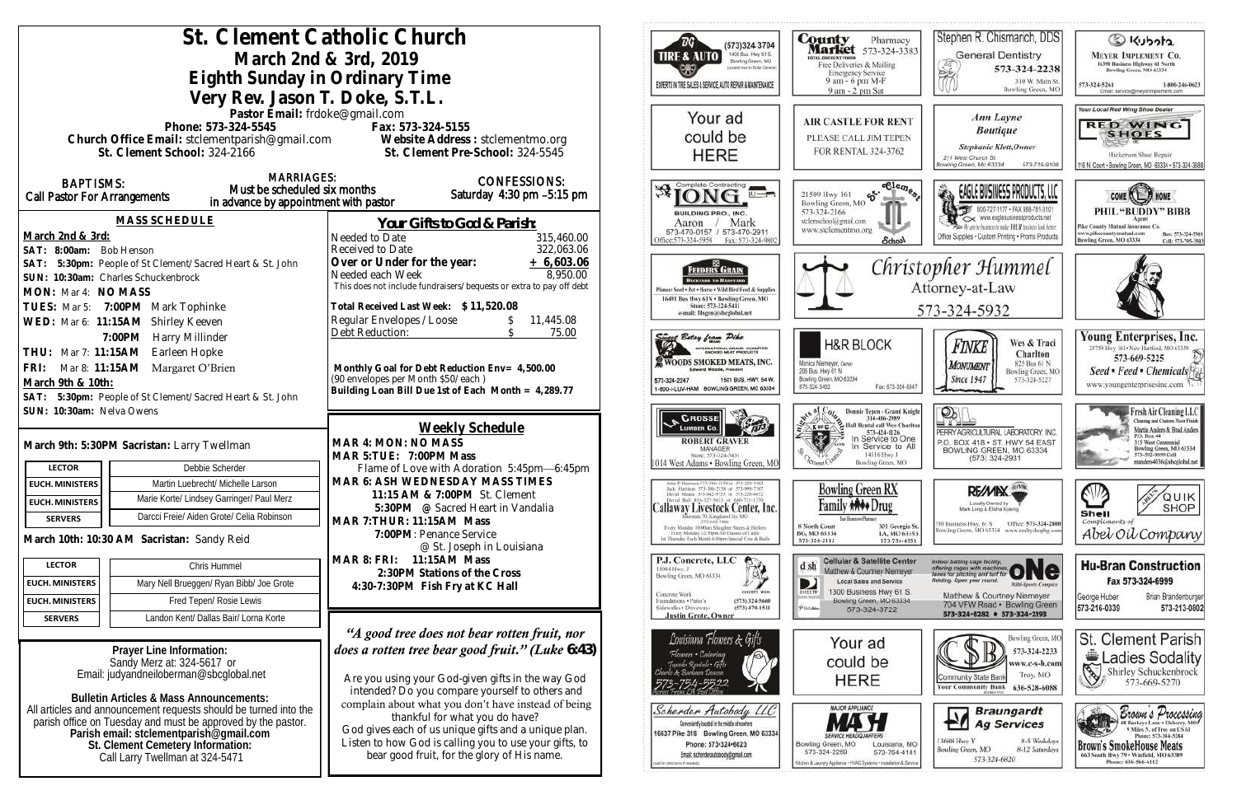|                                                                                                         | St. Clement Catholic Church                               | (573)324 3704                                                                                       | <b>County</b><br>Pharma                                                                                                         |                                                                                    |
|---------------------------------------------------------------------------------------------------------|-----------------------------------------------------------|-----------------------------------------------------------------------------------------------------|---------------------------------------------------------------------------------------------------------------------------------|------------------------------------------------------------------------------------|
|                                                                                                         | March 2nd & 3rd, 2019                                     | 1400 Busi. Hwy 61 S.<br><b>TIRE &amp; AUTO</b><br>Bowling Green, MO                                 | <b>Market</b> 573-324-3<br><b>FOTAL DISCOUNT FOODS</b>                                                                          |                                                                                    |
|                                                                                                         | Eighth Sunday in Ordinary Time                            | copied next to Dollar Generals                                                                      | Free Deliveries & Mailing<br><b>Emergency Service</b>                                                                           |                                                                                    |
|                                                                                                         |                                                           | EXPERTS IN THE SALES & SERVICE, AUTO REPAIR & MAINTENANCE                                           | 9 am - 6 pm M-F<br>9 am - 2 pm Sat                                                                                              |                                                                                    |
|                                                                                                         | Very Rev. Jason T. Doke, S.T.L.                           |                                                                                                     |                                                                                                                                 |                                                                                    |
|                                                                                                         | Pastor Email: frdoke@gmail.com<br>Phone: 573-324-5545     | Fax: 573-324-5155                                                                                   | Your ad                                                                                                                         | <b>AIR CASTLE FOR RE</b>                                                           |
|                                                                                                         |                                                           | Church Office Email: stclementparish@gmail.com Website Address : stclementmo.org                    | could be                                                                                                                        | PLEASE CALL JIM TEP                                                                |
|                                                                                                         | St. Clement School: 324-2166                              | St. Clement Pre-School: 324-5545                                                                    | <b>HERE</b>                                                                                                                     | FOR RENTAL 324-376                                                                 |
|                                                                                                         |                                                           |                                                                                                     |                                                                                                                                 |                                                                                    |
| <b>BAPTISMS:</b>                                                                                        | <b>MARRIAGES:</b><br>Must be scheduled six months         | <b>CONFESSIONS:</b>                                                                                 | Complete Contracting                                                                                                            | eßle                                                                               |
| Call Pastor For Arrangements                                                                            | in advance by appointment with pastor                     | Saturday 4:30 pm -5:15 pm                                                                           |                                                                                                                                 | ళ.<br>21509 Hwy 161<br>Bowling Green, MO                                           |
|                                                                                                         | <b>MASS SCHEDULE</b>                                      | <u>Your Gifts to God &amp; Parish:</u>                                                              | BUILDING PRO., INC.<br>Mark<br>Aaron                                                                                            | 573-324-2166<br>stelenschool@gmail.com                                             |
| March 2nd & 3rd:                                                                                        |                                                           | Needed to Date<br>315,460.00                                                                        | 573-470-0157 / 573-470-2911<br>Office: 573-324-5958<br>Fax: 573-324-9802                                                        | www.stclementmo.org<br><b>Scho</b>                                                 |
| SAT: 8:00am: Bob Henson                                                                                 |                                                           | Received to Date<br>322,063.06                                                                      |                                                                                                                                 |                                                                                    |
|                                                                                                         | SAT: 5:30pm: People of St Clement/Sacred Heart & St. John | Over or Under for the year:<br>$+6,603.06$                                                          | <b>FEEDERS GRAIN</b>                                                                                                            | Chr                                                                                |
| SUN: 10:30am: Charles Schuckenbrock                                                                     |                                                           | 8,950.00<br>Needed each Week<br>This does not include fundraisers/bequests or extra to pay off debt | <b>BEGYARD TO RUSYARD</b><br>Pioneer Seed . Pet . Horse . Wild Bird Feed & Supplies                                             |                                                                                    |
| MON: Mar 4: NO MASS                                                                                     |                                                           |                                                                                                     | 16491 Bus Hwy 61N . Bowling Green, MO                                                                                           |                                                                                    |
| TUES: Mar 5: 7:00PM Mark Tophinke                                                                       |                                                           | Total Received Last Week: \$11,520.08<br>Regular Envelopes / Loose<br>11,445.08                     | Store: 573-324-5411<br>e-mail: fdsgrn@sheglobal.net                                                                             |                                                                                    |
| WED: Mar 6: 11:15AM Shirley Keeven                                                                      |                                                           | Debt Reduction:<br>75.00                                                                            |                                                                                                                                 |                                                                                    |
| 7:00PM Harry Millinder<br>THU: Mar 7: 11:15AM Earleen Hopke                                             |                                                           |                                                                                                     | <u>rivect</u> Betsy from Pike<br>INTERNATIONAL GRAND CHAMPION                                                                   | <b>H&amp;R BLOCK</b>                                                               |
|                                                                                                         |                                                           | Monthly Goal for Debt Reduction Env= 4,500.00                                                       | WOODS SMOKED MEATS, INC.<br><b>Edward Woods, President</b>                                                                      | Monica Niemeyer, Dwner                                                             |
| FRI: Mar 8: 11:15AM Margaret O'Brien<br>March 9th & 10th:                                               |                                                           | (90 envelopes per Month \$50/each)                                                                  | 1501 BUS, HWY, 54 W.<br>573-324-2247                                                                                            | 206 Bus. Hwy 61 N<br>Bowling Green, MO 63334<br>Fax: 573-32<br>573-324-3402        |
| SAT: 5:30pm: People of St Clement/Sacred Heart & St. John                                               |                                                           | Building Loan Bill Due 1st of Each Month = 4,289.77                                                 | 1-800-I-LUV-HAM BOWLING GREEN, MO 63334                                                                                         |                                                                                    |
| SUN: 10:30am: Nelva Owens                                                                               |                                                           |                                                                                                     | <b>CROSSE</b>                                                                                                                   | <b>Donnie Tepen - Grand<br/>314-486-2989</b>                                       |
|                                                                                                         |                                                           | Weekly Schedule                                                                                     | <b>LUMBER Co.</b>                                                                                                               | Hall Rental call Wes C                                                             |
| March 9th: 5:30PM Sacristan: Larry Twellman                                                             |                                                           | MAR 4: MON: NO MASS                                                                                 | <b>ROBERT GRAVER</b><br>MANAGER                                                                                                 | 573-424-1126<br>In Service to                                                      |
| <b>LECTOR</b>                                                                                           | Debbie Scherder                                           | MAR 5: TUE: 7:00PM Mass                                                                             | Store: 573-324-5431<br>1014 West Adams . Bowling Green, MO                                                                      | 14516 Hwy J<br>Bowling Green, M                                                    |
| <b>EUCH. MINISTERS</b>                                                                                  | Martin Luebrecht/ Michelle Larson                         | Flame of Love with Adoration 5:45pm-6:45pm<br>MAR 6: ASH WEDNESDAY MASS TIMES                       | idan P. Harrison 573-386-5150 or 573-239-1482                                                                                   |                                                                                    |
|                                                                                                         | Marie Korte/ Lindsey Garringer/ Paul Merz                 | 11:15 AM & 7:00PM St. Clement                                                                       | lack Harrison 573-386-2138 or 573-899-7197<br>Dovid Means 573-642-9753 or 573-220-0472<br>David B40 816-327-5635 or 660-721-137 | <b>Bowling Green RX</b>                                                            |
| <b>EUCH. MINISTERS</b><br><b>SERVERS</b>                                                                | Darcci Freie/ Aiden Grote/ Celia Robinson                 | 5:30PM @ Sacred Heart in Vandalia                                                                   | Callaway Livestock Center, Inc.<br>raeveate 70, Kinadian City, MO                                                               | Drug<br><b>Tag Howare Planes</b>                                                   |
|                                                                                                         |                                                           | MAR 7: THUR: 11:15AM Mass<br>7:00PM: Penance Service                                                | Every Monday 70:00am Shaghter Steers & Heilers<br>Every Monday 12:30pm All Classes of Cattle                                    | 8 North Court<br>301 Geo<br>BG, MO 63334<br>LA, MO                                 |
| March 10th: 10:30 AM Sacristan: Sandy Reid                                                              |                                                           | @ St. Joseph in Louisiana                                                                           | 1st Thursday Each Month 6:00pm Special Cow & Bully                                                                              | 573-324-2112<br>573-754                                                            |
| <b>LECTOR</b>                                                                                           | Chris Hummel                                              | 11:15AM Mass<br>MAR 8: FRI:                                                                         | P.J. Concrete, LLC<br>15084 Hwy, J.                                                                                             | <b>Cellular &amp; Satellite Ce</b><br>d sh                                         |
| <b>EUCH. MINISTERS</b>                                                                                  | Mary Nell Brueggen/ Ryan Bibb/ Joe Grote                  | 2:30PM Stations of the Cross<br>4:30-7:30PM Fish Fry at KC Hall                                     | Bowling Green, MO 63334                                                                                                         | Matthew & Courtney Niem<br><b>Local Sales and Service</b><br>D                     |
| <b>EUCH. MINISTERS</b>                                                                                  | Fred Tepen/ Rosie Lewis                                   |                                                                                                     | <b>CONSERVATI WERE</b><br>Concrete Work<br>Foundations . Patio's<br>(573) 324-5660                                              | 1300 Business Hwy 61<br>DIRECTV<br>Bowling Green, MO 633                           |
| <b>SERVERS</b>                                                                                          | Landon Kent/ Dallas Bair/ Lorna Korte                     |                                                                                                     | Sidewalks . Driveways<br>$(573)$ 470-1511<br><b>Justin Grote, Owner</b>                                                         | P. El Coluito<br>573-324-3722                                                      |
|                                                                                                         |                                                           | "A good tree does not bear rotten fruit, nor                                                        |                                                                                                                                 |                                                                                    |
| Prayer Line Information:                                                                                |                                                           | does a rotten tree bear good fruit." (Luke $6.43$ )                                                 | Louisiana Flowers & Gifts                                                                                                       | Your ad                                                                            |
| Sandy Merz at: 324-5617 or                                                                              |                                                           |                                                                                                     | Flowers • Catering<br>Tuxedo Rentals - Gil                                                                                      | could be                                                                           |
| Email: judyandneiloberman@sbcglobal.net                                                                 |                                                           | Are you using your God-given gifts in the way God                                                   | anie & Sariaani Desean                                                                                                          | <b>HERE</b>                                                                        |
| <b>Bulletin Articles &amp; Mass Announcements:</b>                                                      |                                                           | intended? Do you compare yourself to others and                                                     |                                                                                                                                 |                                                                                    |
| All articles and announcement requests should be turned into the                                        |                                                           | complain about what you don't have instead of being<br>thankful for what you do have?               | Scherder Autobody LLC                                                                                                           | <b>MAJOR APPLIANCE</b>                                                             |
| parish office on Tuesday and must be approved by the pastor.<br>Parish email: stclementparish@gmail.com |                                                           | God gives each of us unique gifts and a unique plan.                                                | Conveniently located in the middle of nowhere<br>16637 Pike 318 Bowling Green, MO 63334                                         |                                                                                    |
| St. Clement Cemetery Information:                                                                       |                                                           | Listen to how God is calling you to use your gifts, to                                              | Phone: 573-324-6023                                                                                                             | Bowling Green, MO<br>Louisiana                                                     |
| Call Larry Twellman at 324-5471                                                                         |                                                           | bear good fruit, for the glory of His name.                                                         | Email: scherderautobody@gmail.com                                                                                               | 573-754-<br>573-324-2259<br>en & Laurichy Appliance . HWAC Systems . Installation. |